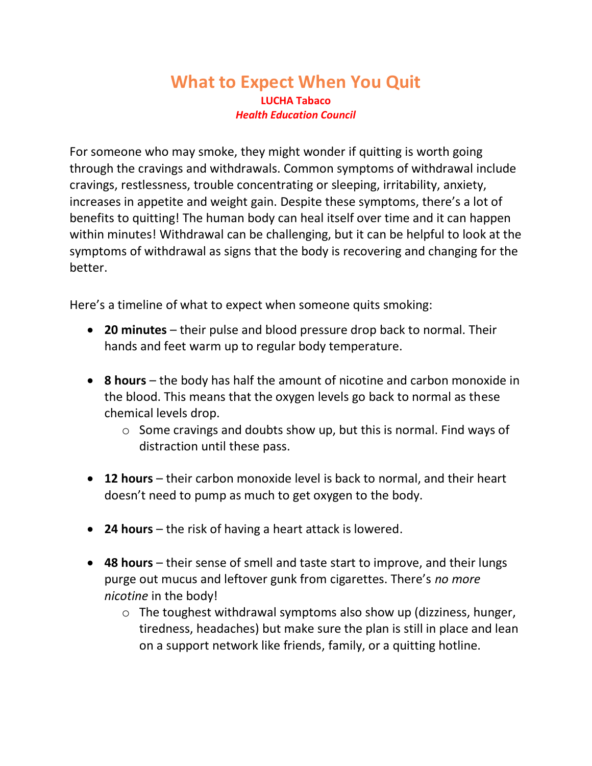## **What to Expect When You Quit LUCHA Tabaco** *Health Education Council*

For someone who may smoke, they might wonder if quitting is worth going through the cravings and withdrawals. Common symptoms of withdrawal include cravings, restlessness, trouble concentrating or sleeping, irritability, anxiety, increases in appetite and weight gain. Despite these symptoms, there's a lot of benefits to quitting! The human body can heal itself over time and it can happen within minutes! Withdrawal can be challenging, but it can be helpful to look at the symptoms of withdrawal as signs that the body is recovering and changing for the better.

Here's a timeline of what to expect when someone quits smoking:

- **20 minutes** their pulse and blood pressure drop back to normal. Their hands and feet warm up to regular body temperature.
- **8 hours** the body has half the amount of nicotine and carbon monoxide in the blood. This means that the oxygen levels go back to normal as these chemical levels drop.
	- o Some cravings and doubts show up, but this is normal. Find ways of distraction until these pass.
- **12 hours** their carbon monoxide level is back to normal, and their heart doesn't need to pump as much to get oxygen to the body.
- **24 hours** the risk of having a heart attack is lowered.
- 48 hours their sense of smell and taste start to improve, and their lungs purge out mucus and leftover gunk from cigarettes. There's *no more nicotine* in the body!
	- o The toughest withdrawal symptoms also show up (dizziness, hunger, tiredness, headaches) but make sure the plan is still in place and lean on a support network like friends, family, or a quitting hotline.